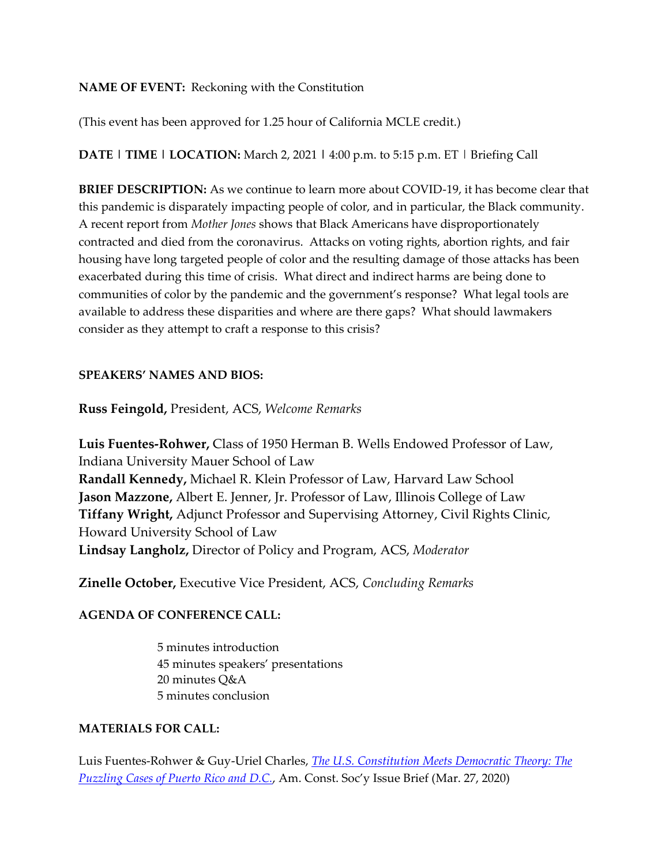## **NAME OF EVENT:** Reckoning with the Constitution

(This event has been approved for 1.25 hour of California MCLE credit.)

**DATE | TIME | LOCATION:** March 2, 2021 **|** 4:00 p.m. to 5:15 p.m. ET | Briefing Call

**BRIEF DESCRIPTION:** As we continue to learn more about COVID-19, it has become clear that this pandemic is disparately impacting people of color, and in particular, the Black community. A recent report from *Mother Jones* shows that Black Americans have disproportionately contracted and died from the coronavirus. Attacks on voting rights, abortion rights, and fair housing have long targeted people of color and the resulting damage of those attacks has been exacerbated during this time of crisis. What direct and indirect harms are being done to communities of color by the pandemic and the government's response? What legal tools are available to address these disparities and where are there gaps? What should lawmakers consider as they attempt to craft a response to this crisis?

## **SPEAKERS' NAMES AND BIOS:**

**Russ Feingold,** President, ACS, *Welcome Remarks*

**Luis Fuentes-Rohwer,** Class of 1950 Herman B. Wells Endowed Professor of Law, Indiana University Mauer School of Law **Randall Kennedy,** Michael R. Klein Professor of Law, Harvard Law School **Jason Mazzone,** Albert E. Jenner, Jr. Professor of Law, Illinois College of Law **Tiffany Wright,** Adjunct Professor and Supervising Attorney, Civil Rights Clinic, Howard University School of Law **Lindsay Langholz,** Director of Policy and Program, ACS, *Moderator*

**Zinelle October,** Executive Vice President, ACS, *Concluding Remarks*

## **AGENDA OF CONFERENCE CALL:**

5 minutes introduction 45 minutes speakers' presentations 20 minutes Q&A 5 minutes conclusion

## **MATERIALS FOR CALL:**

Luis Fuentes-Rohwer & Guy-Uriel Charles, *The U.S. Constitution Meets Democratic Theory: The Puzzling Cases of Puerto Rico and D.C.*, Am. Const. Soc'y Issue Brief (Mar. 27, 2020)